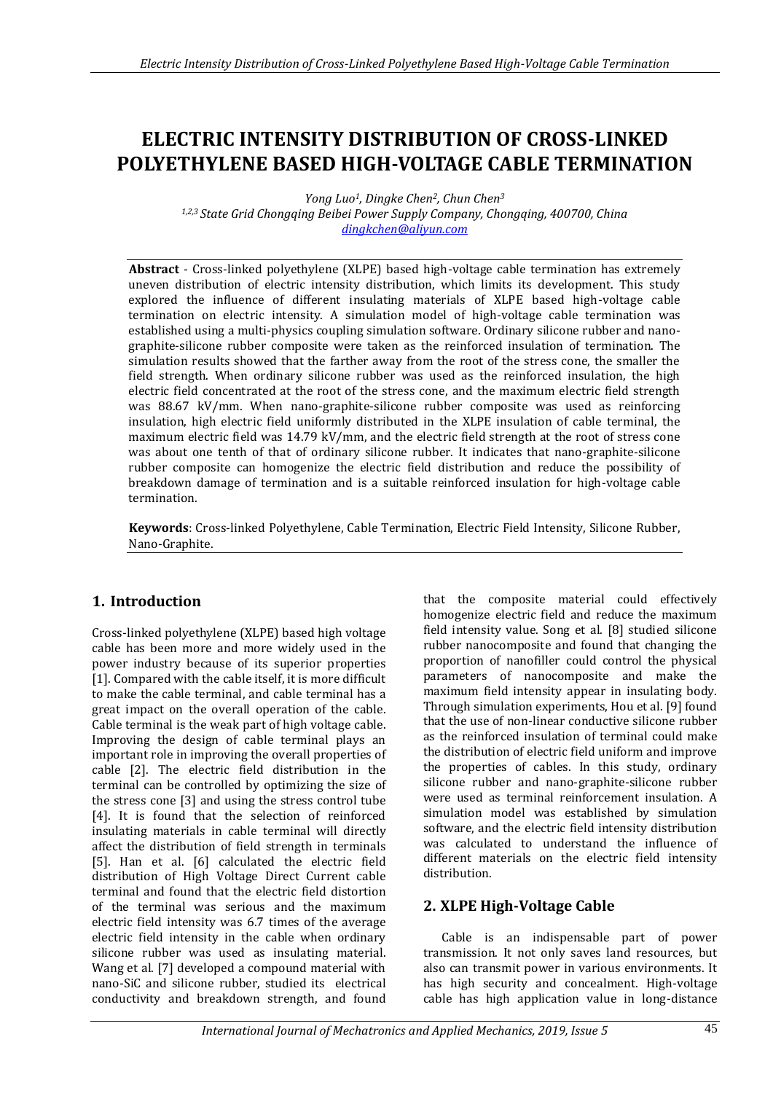# **ELECTRIC INTENSITY DISTRIBUTION OF CROSS-LINKED POLYETHYLENE BASED HIGH-VOLTAGE CABLE TERMINATION**

*Yong Luo1, Dingke Chen2, Chun Chen<sup>3</sup> 1,2,3 State Grid Chongqing Beibei Power Supply Company, Chongqing, 400700, China dingkchen@aliyun.com*

**Abstract** - Cross-linked polyethylene (XLPE) based high-voltage cable termination has extremely uneven distribution of electric intensity distribution, which limits its development. This study explored the influence of different insulating materials of XLPE based high-voltage cable termination on electric intensity. A simulation model of high-voltage cable termination was established using a multi-physics coupling simulation software. Ordinary silicone rubber and nanographite-silicone rubber composite were taken as the reinforced insulation of termination. The simulation results showed that the farther away from the root of the stress cone, the smaller the field strength. When ordinary silicone rubber was used as the reinforced insulation, the high electric field concentrated at the root of the stress cone, and the maximum electric field strength was 88.67 kV/mm. When nano-graphite-silicone rubber composite was used as reinforcing insulation, high electric field uniformly distributed in the XLPE insulation of cable terminal, the maximum electric field was 14.79 kV/mm, and the electric field strength at the root of stress cone was about one tenth of that of ordinary silicone rubber. It indicates that nano-graphite-silicone rubber composite can homogenize the electric field distribution and reduce the possibility of breakdown damage of termination and is a suitable reinforced insulation for high-voltage cable termination.

**Keywords**: Cross-linked Polyethylene, Cable Termination, Electric Field Intensity, Silicone Rubber, Nano-Graphite.

### **1. Introduction**

Cross-linked polyethylene (XLPE) based high voltage cable has been more and more widely used in the power industry because of its superior properties [1]. Compared with the cable itself, it is more difficult to make the cable terminal, and cable terminal has a great impact on the overall operation of the cable. Cable terminal is the weak part of high voltage cable. Improving the design of cable terminal plays an important role in improving the overall properties of cable [2]. The electric field distribution in the terminal can be controlled by optimizing the size of the stress cone [3] and using the stress control tube [4]. It is found that the selection of reinforced insulating materials in cable terminal will directly affect the distribution of field strength in terminals [5]. Han et al. [6] calculated the electric field distribution of High Voltage Direct Current cable terminal and found that the electric field distortion of the terminal was serious and the maximum electric field intensity was 6.7 times of the average electric field intensity in the cable when ordinary silicone rubber was used as insulating material. Wang et al. [7] developed a compound material with nano-SiC and silicone rubber, studied its electrical conductivity and breakdown strength, and found that the composite material could effectively homogenize electric field and reduce the maximum field intensity value. Song et al. [8] studied silicone rubber nanocomposite and found that changing the proportion of nanofiller could control the physical parameters of nanocomposite and make the maximum field intensity appear in insulating body. Through simulation experiments, Hou et al. [9] found that the use of non-linear conductive silicone rubber as the reinforced insulation of terminal could make the distribution of electric field uniform and improve the properties of cables. In this study, ordinary silicone rubber and nano-graphite-silicone rubber were used as terminal reinforcement insulation. A simulation model was established by simulation software, and the electric field intensity distribution was calculated to understand the influence of different materials on the electric field intensity distribution.

### **2. XLPE High-Voltage Cable**

Cable is an indispensable part of power transmission. It not only saves land resources, but also can transmit power in various environments. It has high security and concealment. High-voltage cable has high application value in long-distance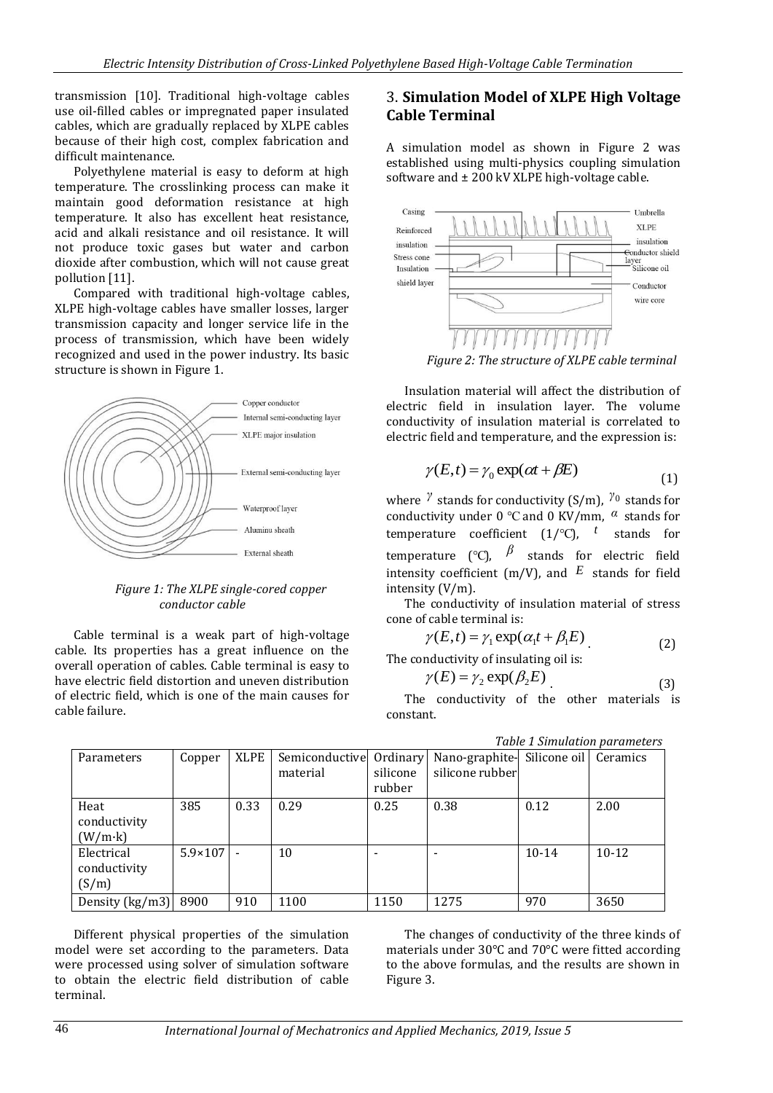transmission [10]. Traditional high-voltage cables use oil-filled cables or impregnated paper insulated cables, which are gradually replaced by XLPE cables because of their high cost, complex fabrication and difficult maintenance.

Polyethylene material is easy to deform at high temperature. The crosslinking process can make it maintain good deformation resistance at high temperature. It also has excellent heat resistance, acid and alkali resistance and oil resistance. It will not produce toxic gases but water and carbon dioxide after combustion, which will not cause great pollution [11].

Compared with traditional high-voltage cables, XLPE high-voltage cables have smaller losses, larger transmission capacity and longer service life in the process of transmission, which have been widely recognized and used in the power industry. Its basic structure is shown in Figure 1.



#### *Figure 1: The XLPE single-cored copper conductor cable*

Cable terminal is a weak part of high-voltage cable. Its properties has a great influence on the overall operation of cables. Cable terminal is easy to have electric field distortion and uneven distribution of electric field, which is one of the main causes for cable failure.

### 3. **Simulation Model of XLPE High Voltage Cable Terminal**

A simulation model as shown in Figure 2 was established using multi-physics coupling simulation software and  $\pm 200$  kV XLPE high-voltage cable.



*Figure 2: The structure of XLPE cable terminal*

Insulation material will affect the distribution of electric field in insulation layer. The volume conductivity of insulation material is correlated to electric field and temperature, and the expression is:

$$
\gamma(E, t) = \gamma_0 \exp(\alpha t + \beta E)
$$
\n(1)

where <sup>γ</sup> stands for conductivity (S/m), <sup>γ<sub>0</sub></sup> stands for conductivity under 0 ℃ and 0 KV/mm, *α* stands for temperature coefficient (1/℃), *t* stands for temperature (℃), *β* stands for electric field intensity coefficient (m/V), and  $E$  stands for field intensity (V/m).

The conductivity of insulation material of stress cone of cable terminal is:

$$
\gamma(E, t) = \gamma_1 \exp(\alpha_1 t + \beta_1 E) \tag{2}
$$

The conductivity of insulating oil is:

$$
\gamma(E) = \gamma_2 \exp(\beta_2 E) \tag{3}
$$

The conductivity of the other materials is constant.

| Tuble 1 billiardent parameters |                  |             |                         |          |                                        |           |         |  |
|--------------------------------|------------------|-------------|-------------------------|----------|----------------------------------------|-----------|---------|--|
| Parameters                     | Copper           | <b>XLPE</b> | Semiconductive Ordinary |          | Nano-graphite- Silicone oil   Ceramics |           |         |  |
|                                |                  |             | material                | silicone | silicone rubber                        |           |         |  |
|                                |                  |             |                         | rubber   |                                        |           |         |  |
| Heat                           | 385              | 0.33        | 0.29                    | 0.25     | 0.38                                   | 0.12      | 2.00    |  |
| conductivity                   |                  |             |                         |          |                                        |           |         |  |
| (W/m·k)                        |                  |             |                         |          |                                        |           |         |  |
| Electrical                     | $5.9 \times 107$ |             | 10                      |          |                                        | $10 - 14$ | $10-12$ |  |
| conductivity                   |                  |             |                         |          |                                        |           |         |  |
| (S/m)                          |                  |             |                         |          |                                        |           |         |  |
| Density (kg/m3)                | 8900             | 910         | 1100                    | 1150     | 1275                                   | 970       | 3650    |  |

Different physical properties of the simulation model were set according to the parameters. Data were processed using solver of simulation software to obtain the electric field distribution of cable terminal.

The changes of conductivity of the three kinds of materials under 30°C and 70°C were fitted according to the above formulas, and the results are shown in Figure 3.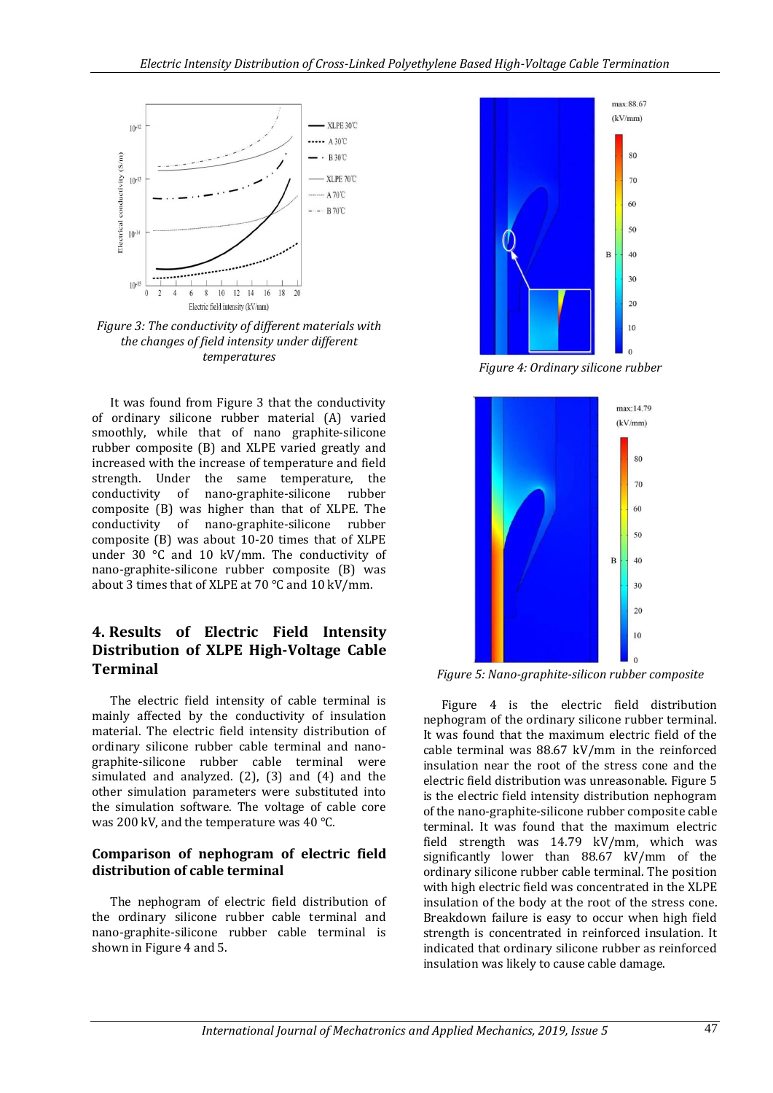

*Figure 3: The conductivity of different materials with the changes of field intensity under different temperatures*

It was found from Figure 3 that the conductivity of ordinary silicone rubber material (A) varied smoothly, while that of nano graphite-silicone rubber composite (B) and XLPE varied greatly and increased with the increase of temperature and field strength. Under the same temperature, the conductivity of nano-graphite-silicone rubber composite (B) was higher than that of XLPE. The conductivity of nano-graphite-silicone rubber composite (B) was about 10-20 times that of XLPE under 30 °C and 10 kV/mm. The conductivity of nano-graphite-silicone rubber composite (B) was about 3 times that of XLPE at 70 °C and 10 kV/mm.

### **4. Results of Electric Field Intensity Distribution of XLPE High-Voltage Cable Terminal**

The electric field intensity of cable terminal is mainly affected by the conductivity of insulation material. The electric field intensity distribution of ordinary silicone rubber cable terminal and nanographite-silicone rubber cable terminal were simulated and analyzed. (2), (3) and (4) and the other simulation parameters were substituted into the simulation software. The voltage of cable core was 200 kV, and the temperature was 40 °C.

#### **Comparison of nephogram of electric field distribution of cable terminal**

The nephogram of electric field distribution of the ordinary silicone rubber cable terminal and nano-graphite-silicone rubber cable terminal is shown in Figure 4 and 5.



*Figure 4: Ordinary silicone rubber*



*Figure 5: Nano-graphite-silicon rubber composite*

Figure 4 is the electric field distribution nephogram of the ordinary silicone rubber terminal. It was found that the maximum electric field of the cable terminal was 88.67 kV/mm in the reinforced insulation near the root of the stress cone and the electric field distribution was unreasonable. Figure 5 is the electric field intensity distribution nephogram of the nano-graphite-silicone rubber composite cable terminal. It was found that the maximum electric field strength was 14.79 kV/mm, which was significantly lower than 88.67 kV/mm of the ordinary silicone rubber cable terminal. The position with high electric field was concentrated in the XLPE insulation of the body at the root of the stress cone. Breakdown failure is easy to occur when high field strength is concentrated in reinforced insulation. It indicated that ordinary silicone rubber as reinforced insulation was likely to cause cable damage.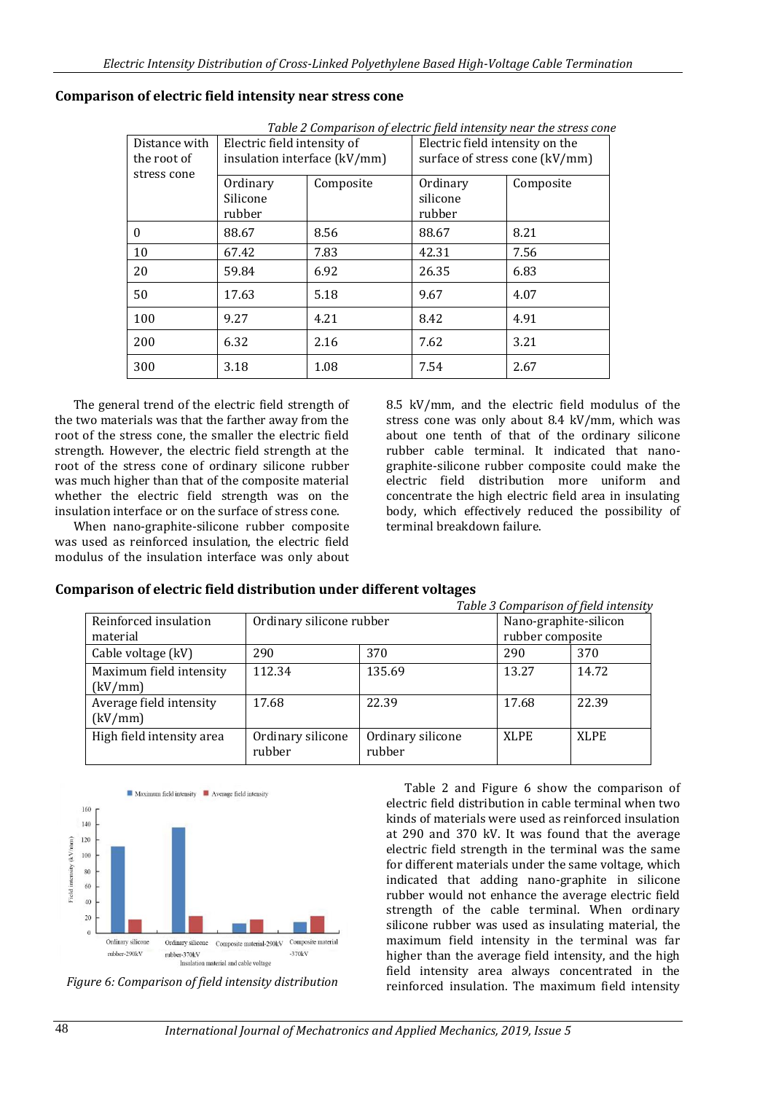| Table 2 Comparison of electric field intensity near the stress cone |                                                             |           |                                                                   |           |  |  |  |  |  |  |
|---------------------------------------------------------------------|-------------------------------------------------------------|-----------|-------------------------------------------------------------------|-----------|--|--|--|--|--|--|
| Distance with<br>the root of<br>stress cone                         | Electric field intensity of<br>insulation interface (kV/mm) |           | Electric field intensity on the<br>surface of stress cone (kV/mm) |           |  |  |  |  |  |  |
|                                                                     | Ordinary<br>Silicone<br>rubber                              | Composite | Ordinary<br>silicone<br>rubber                                    | Composite |  |  |  |  |  |  |
| 0                                                                   | 88.67                                                       | 8.56      | 88.67                                                             | 8.21      |  |  |  |  |  |  |
| 10                                                                  | 67.42                                                       | 7.83      | 42.31                                                             | 7.56      |  |  |  |  |  |  |
| 20                                                                  | 59.84                                                       | 6.92      | 26.35                                                             | 6.83      |  |  |  |  |  |  |
| 50                                                                  | 17.63                                                       | 5.18      | 9.67                                                              | 4.07      |  |  |  |  |  |  |
| 100                                                                 | 9.27                                                        | 4.21      | 8.42                                                              | 4.91      |  |  |  |  |  |  |
| 200                                                                 | 6.32                                                        | 2.16      | 7.62                                                              | 3.21      |  |  |  |  |  |  |
| 300                                                                 | 3.18                                                        | 1.08      | 7.54                                                              | 2.67      |  |  |  |  |  |  |

#### **Comparison of electric field intensity near stress cone**

The general trend of the electric field strength of the two materials was that the farther away from the root of the stress cone, the smaller the electric field strength. However, the electric field strength at the root of the stress cone of ordinary silicone rubber was much higher than that of the composite material whether the electric field strength was on the insulation interface or on the surface of stress cone.

When nano-graphite-silicone rubber composite was used as reinforced insulation, the electric field modulus of the insulation interface was only about 8.5 kV/mm, and the electric field modulus of the stress cone was only about 8.4 kV/mm, which was about one tenth of that of the ordinary silicone rubber cable terminal. It indicated that nanographite-silicone rubber composite could make the electric field distribution more uniform and concentrate the high electric field area in insulating body, which effectively reduced the possibility of terminal breakdown failure.

#### **Comparison of electric field distribution under different voltages**

|                                    |                             |                             |                  | Table 3 Comparison of field intensity |
|------------------------------------|-----------------------------|-----------------------------|------------------|---------------------------------------|
| Reinforced insulation              | Ordinary silicone rubber    | Nano-graphite-silicon       |                  |                                       |
| material                           |                             |                             | rubber composite |                                       |
| Cable voltage (kV)                 | 290                         | 370                         | 290              | 370                                   |
| Maximum field intensity<br>(kV/mm) | 112.34                      | 135.69                      | 13.27            | 14.72                                 |
| Average field intensity<br>(kV/mm) | 17.68                       | 22.39                       | 17.68            | 22.39                                 |
| High field intensity area          | Ordinary silicone<br>rubber | Ordinary silicone<br>rubber | XLPE             | XLPE                                  |



*Figure 6: Comparison of field intensity distribution*

Table 2 and Figure 6 show the comparison of electric field distribution in cable terminal when two kinds of materials were used as reinforced insulation at 290 and 370 kV. It was found that the average electric field strength in the terminal was the same for different materials under the same voltage, which indicated that adding nano-graphite in silicone rubber would not enhance the average electric field strength of the cable terminal. When ordinary silicone rubber was used as insulating material, the maximum field intensity in the terminal was far higher than the average field intensity, and the high field intensity area always concentrated in the reinforced insulation. The maximum field intensity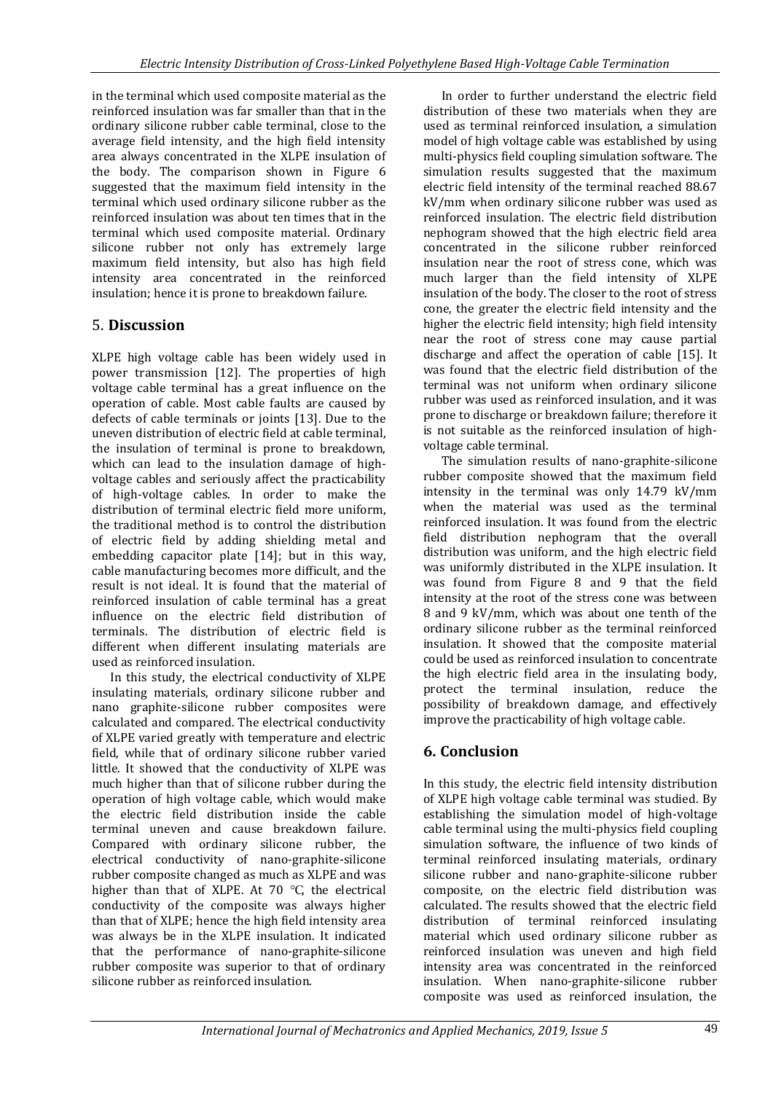in the terminal which used composite material as the reinforced insulation was far smaller than that in the ordinary silicone rubber cable terminal, close to the average field intensity, and the high field intensity area always concentrated in the XLPE insulation of the body. The comparison shown in Figure 6 suggested that the maximum field intensity in the terminal which used ordinary silicone rubber as the reinforced insulation was about ten times that in the terminal which used composite material. Ordinary silicone rubber not only has extremely large maximum field intensity, but also has high field intensity area concentrated in the reinforced insulation; hence it is prone to breakdown failure.

# 5. **Discussion**

XLPE high voltage cable has been widely used in power transmission [12]. The properties of high voltage cable terminal has a great influence on the operation of cable. Most cable faults are caused by defects of cable terminals or joints [13]. Due to the uneven distribution of electric field at cable terminal, the insulation of terminal is prone to breakdown, which can lead to the insulation damage of highvoltage cables and seriously affect the practicability of high-voltage cables. In order to make the distribution of terminal electric field more uniform, the traditional method is to control the distribution of electric field by adding shielding metal and embedding capacitor plate [14]; but in this way, cable manufacturing becomes more difficult, and the result is not ideal. It is found that the material of reinforced insulation of cable terminal has a great influence on the electric field distribution of terminals. The distribution of electric field is different when different insulating materials are used as reinforced insulation.

In this study, the electrical conductivity of XLPE insulating materials, ordinary silicone rubber and nano graphite-silicone rubber composites were calculated and compared. The electrical conductivity of XLPE varied greatly with temperature and electric field, while that of ordinary silicone rubber varied little. It showed that the conductivity of XLPE was much higher than that of silicone rubber during the operation of high voltage cable, which would make the electric field distribution inside the cable terminal uneven and cause breakdown failure. Compared with ordinary silicone rubber, the electrical conductivity of nano-graphite-silicone rubber composite changed as much as XLPE and was higher than that of XLPE. At 70 ℃, the electrical conductivity of the composite was always higher than that of XLPE; hence the high field intensity area was always be in the XLPE insulation. It indicated that the performance of nano-graphite-silicone rubber composite was superior to that of ordinary silicone rubber as reinforced insulation.

In order to further understand the electric field distribution of these two materials when they are used as terminal reinforced insulation, a simulation model of high voltage cable was established by using multi-physics field coupling simulation software. The simulation results suggested that the maximum electric field intensity of the terminal reached 88.67 kV/mm when ordinary silicone rubber was used as reinforced insulation. The electric field distribution nephogram showed that the high electric field area concentrated in the silicone rubber reinforced insulation near the root of stress cone, which was much larger than the field intensity of XLPE insulation of the body. The closer to the root of stress cone, the greater the electric field intensity and the higher the electric field intensity; high field intensity near the root of stress cone may cause partial discharge and affect the operation of cable [15]. It was found that the electric field distribution of the terminal was not uniform when ordinary silicone rubber was used as reinforced insulation, and it was prone to discharge or breakdown failure; therefore it is not suitable as the reinforced insulation of highvoltage cable terminal.

The simulation results of nano-graphite-silicone rubber composite showed that the maximum field intensity in the terminal was only 14.79 kV/mm when the material was used as the terminal reinforced insulation. It was found from the electric field distribution nephogram that the overall distribution was uniform, and the high electric field was uniformly distributed in the XLPE insulation. It was found from Figure 8 and 9 that the field intensity at the root of the stress cone was between 8 and 9 kV/mm, which was about one tenth of the ordinary silicone rubber as the terminal reinforced insulation. It showed that the composite material could be used as reinforced insulation to concentrate the high electric field area in the insulating body, protect the terminal insulation, reduce the possibility of breakdown damage, and effectively improve the practicability of high voltage cable.

# **6. Conclusion**

In this study, the electric field intensity distribution of XLPE high voltage cable terminal was studied. By establishing the simulation model of high-voltage cable terminal using the multi-physics field coupling simulation software, the influence of two kinds of terminal reinforced insulating materials, ordinary silicone rubber and nano-graphite-silicone rubber composite, on the electric field distribution was calculated. The results showed that the electric field distribution of terminal reinforced insulating material which used ordinary silicone rubber as reinforced insulation was uneven and high field intensity area was concentrated in the reinforced insulation. When nano-graphite-silicone rubber composite was used as reinforced insulation, the